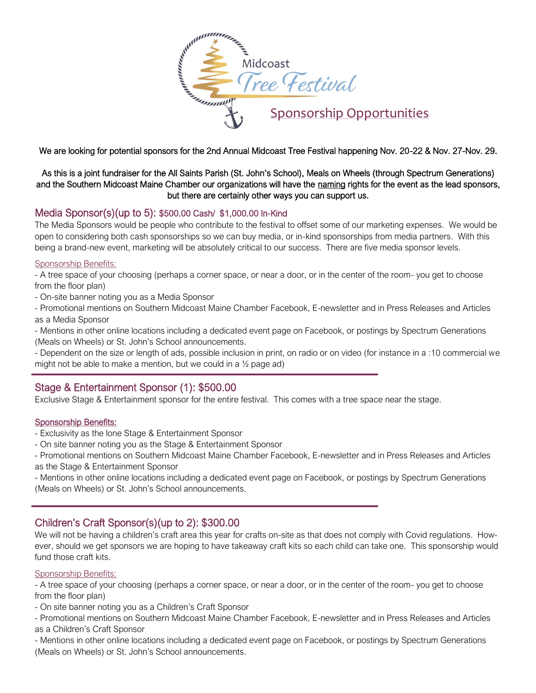

We are looking for potential sponsors for the 2nd Annual Midcoast Tree Festival happening Nov. 20-22 & Nov. 27-Nov. 29.

As this is a joint fundraiser for the All Saints Parish (St. John's School), Meals on Wheels (through Spectrum Generations) and the Southern Midcoast Maine Chamber our organizations will have the naming rights for the event as the lead sponsors, but there are certainly other ways you can support us.

## Media Sponsor(s)(up to 5): \$500.00 Cash/ \$1,000.00 In-Kind

The Media Sponsors would be people who contribute to the festival to offset some of our marketing expenses. We would be open to considering both cash sponsorships so we can buy media, or in-kind sponsorships from media partners. With this being a brand-new event, marketing will be absolutely critical to our success. There are five media sponsor levels.

#### Sponsorship Benefits:

- A tree space of your choosing (perhaps a corner space, or near a door, or in the center of the room- you get to choose from the floor plan)

- On-site banner noting you as a Media Sponsor

- Promotional mentions on Southern Midcoast Maine Chamber Facebook, E-newsletter and in Press Releases and Articles as a Media Sponsor

- Mentions in other online locations including a dedicated event page on Facebook, or postings by Spectrum Generations (Meals on Wheels) or St. John's School announcements.

- Dependent on the size or length of ads, possible inclusion in print, on radio or on video (for instance in a :10 commercial we might not be able to make a mention, but we could in a ½ page ad)

# Stage & Entertainment Sponsor (1): \$500.00

Exclusive Stage & Entertainment sponsor for the entire festival. This comes with a tree space near the stage.

### Sponsorship Benefits:

- Exclusivity as the lone Stage & Entertainment Sponsor
- On site banner noting you as the Stage & Entertainment Sponsor

- Promotional mentions on Southern Midcoast Maine Chamber Facebook, E-newsletter and in Press Releases and Articles as the Stage & Entertainment Sponsor

- Mentions in other online locations including a dedicated event page on Facebook, or postings by Spectrum Generations (Meals on Wheels) or St. John's School announcements.

# Children's Craft Sponsor(s)(up to 2): \$300.00

We will not be having a children's craft area this year for crafts on-site as that does not comply with Covid regulations. However, should we get sponsors we are hoping to have takeaway craft kits so each child can take one. This sponsorship would fund those craft kits.

#### Sponsorship Benefits:

j

- A tree space of your choosing (perhaps a corner space, or near a door, or in the center of the room- you get to choose from the floor plan)

- On site banner noting you as a Children's Craft Sponsor

- Promotional mentions on Southern Midcoast Maine Chamber Facebook, E-newsletter and in Press Releases and Articles as a Children's Craft Sponsor

- Mentions in other online locations including a dedicated event page on Facebook, or postings by Spectrum Generations (Meals on Wheels) or St. John's School announcements.